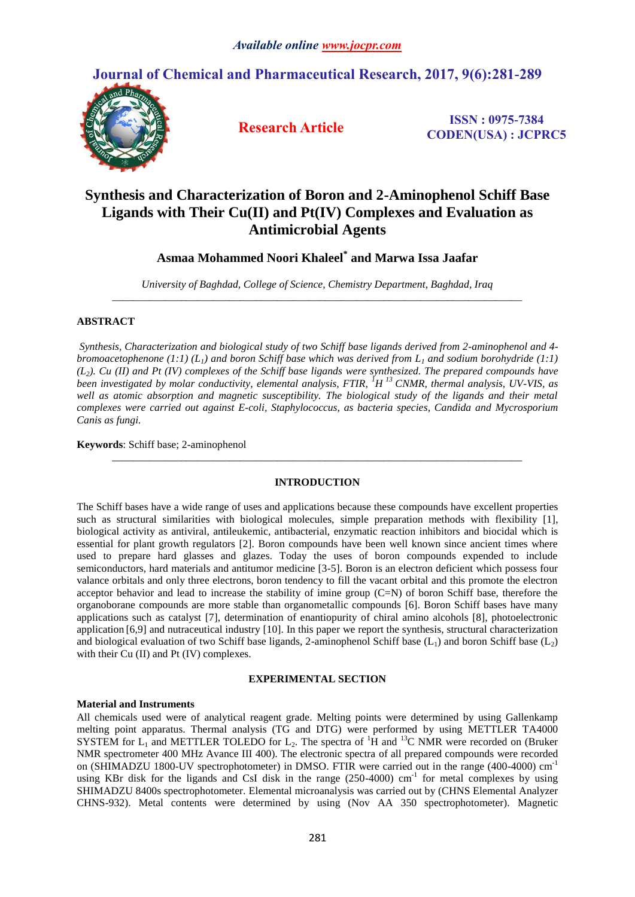# **Journal of Chemical and Pharmaceutical Research, 2017, 9(6):281-289**



**Research Article ISSN : 0975-7384 CODEN(USA) : JCPRC5**

# **Synthesis and Characterization of Boron and 2-Aminophenol Schiff Base Ligands with Their Cu(II) and Pt(IV) Complexes and Evaluation as Antimicrobial Agents**

**Asmaa Mohammed Noori Khaleel\* and Marwa Issa Jaafar**

*University of Baghdad, College of Science, Chemistry Department, Baghdad, Iraq \_\_\_\_\_\_\_\_\_\_\_\_\_\_\_\_\_\_\_\_\_\_\_\_\_\_\_\_\_\_\_\_\_\_\_\_\_\_\_\_\_\_\_\_\_\_\_\_\_\_\_\_\_\_\_\_\_\_\_\_\_\_\_\_\_\_\_\_\_\_\_\_\_\_\_\_\_*

# **ABSTRACT**

*Synthesis, Characterization and biological study of two Schiff base ligands derived from 2-aminophenol and 4 bromoacetophenone (1:1) (L1) and boron Schiff base which was derived from L<sup>1</sup> and sodium borohydride (1:1) (L2). Cu (II) and Pt (IV) complexes of the Schiff base ligands were synthesized. The prepared compounds have been investigated by molar conductivity, elemental analysis, FTIR, <sup>1</sup>H <sup>13</sup> CNMR, thermal analysis, UV-VIS, as well as atomic absorption and magnetic susceptibility. The biological study of the ligands and their metal complexes were carried out against E-coli, Staphylococcus, as bacteria species, Candida and Mycrosporium Canis as fungi.* 

**Keywords**: Schiff base; 2-aminophenol

# **INTRODUCTION**

*\_\_\_\_\_\_\_\_\_\_\_\_\_\_\_\_\_\_\_\_\_\_\_\_\_\_\_\_\_\_\_\_\_\_\_\_\_\_\_\_\_\_\_\_\_\_\_\_\_\_\_\_\_\_\_\_\_\_\_\_\_\_\_\_\_\_\_\_\_\_\_\_\_\_\_\_\_*

The Schiff bases have a wide range of uses and applications because these compounds have excellent properties such as structural similarities with biological molecules, simple preparation methods with flexibility [1], biological activity as antiviral, antileukemic, antibacterial, enzymatic reaction inhibitors and biocidal which is essential for plant growth regulators [2]. Boron compounds have been well known since ancient times where used to prepare hard glasses and glazes. Today the uses of boron compounds expended to include semiconductors, hard materials and antitumor medicine [3-5]. Boron is an electron deficient which possess four valance orbitals and only three electrons, boron tendency to fill the vacant orbital and this promote the electron acceptor behavior and lead to increase the stability of imine group (C=N) of boron Schiff base, therefore the organoborane compounds are more stable than organometallic compounds [6]. Boron Schiff bases have many applications such as catalyst [7], determination of enantiopurity of chiral amino alcohols [8], photoelectronic application [6,9] and nutraceutical industry [10]. In this paper we report the synthesis, structural characterization and biological evaluation of two Schiff base ligands, 2-aminophenol Schiff base  $(L_1)$  and boron Schiff base  $(L_2)$ with their Cu (II) and Pt (IV) complexes.

#### **EXPERIMENTAL SECTION**

# **Material and Instruments**

All chemicals used were of analytical reagent grade. Melting points were determined by using Gallenkamp melting point apparatus. Thermal analysis (TG and DTG) were performed by using METTLER TA4000 SYSTEM for  $L_1$  and METTLER TOLEDO for  $L_2$ . The spectra of <sup>1</sup>H and <sup>13</sup>C NMR were recorded on (Bruker NMR spectrometer 400 MHz Avance III 400). The electronic spectra of all prepared compounds were recorded on (SHIMADZU 1800-UV spectrophotometer) in DMSO. FTIR were carried out in the range (400-4000) cm<sup>-1</sup> using KBr disk for the ligands and CsI disk in the range  $(250-4000)$  cm<sup>-1</sup> for metal complexes by using SHIMADZU 8400s spectrophotometer. Elemental microanalysis was carried out by (CHNS Elemental Analyzer CHNS-932). Metal contents were determined by using (Nov AA 350 spectrophotometer). Magnetic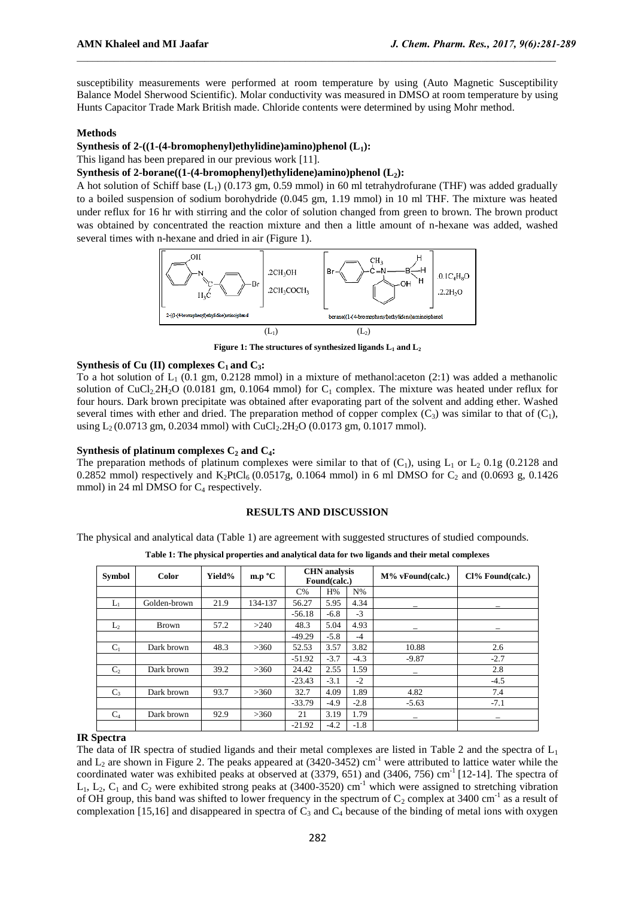susceptibility measurements were performed at room temperature by using (Auto Magnetic Susceptibility Balance Model Sherwood Scientific). Molar conductivity was measured in DMSO at room temperature by using Hunts Capacitor Trade Mark British made. Chloride contents were determined by using Mohr method.

# **Methods**

# **Synthesis of 2-((1-(4-bromophenyl)ethylidine)amino)phenol (L1):**

This ligand has been prepared in our previous work [11].

# **Synthesis of 2-borane((1-(4-bromophenyl)ethylidene)amino)phenol (L2):**

A hot solution of Schiff base  $(L_1)$  (0.173 gm, 0.59 mmol) in 60 ml tetrahydrofurane (THF) was added gradually to a boiled suspension of sodium borohydride (0.045 gm, 1.19 mmol) in 10 ml THF. The mixture was heated under reflux for 16 hr with stirring and the color of solution changed from green to brown. The brown product was obtained by concentrated the reaction mixture and then a little amount of n-hexane was added, washed several times with n-hexane and dried in air (Figure 1).



**Figure 1: The structures of synthesized ligands L<sup>1</sup> and L<sup>2</sup>**

# **Synthesis of Cu (II) complexes C1 and C3:**

To a hot solution of  $L_1$  (0.1 gm, 0.2128 mmol) in a mixture of methanol: aceton (2:1) was added a methanolic solution of CuCl<sub>2.</sub>2H<sub>2</sub>O (0.0181 gm, 0.1064 mmol) for C<sub>1</sub> complex. The mixture was heated under reflux for four hours. Dark brown precipitate was obtained after evaporating part of the solvent and adding ether. Washed several times with ether and dried. The preparation method of copper complex  $(C_3)$  was similar to that of  $(C_1)$ , using  $L_2 (0.0713 \text{ gm}, 0.2034 \text{ mmol})$  with CuCl<sub>2</sub>.2H<sub>2</sub>O (0.0173 gm, 0.1017 mmol).

### **Synthesis of platinum complexes**  $C_2$  **and**  $C_4$ **<b>:**

The preparation methods of platinum complexes were similar to that of  $(C_1)$ , using  $L_1$  or  $L_2$  0.1g (0.2128 and 0.2852 mmol) respectively and  $K_2PtCl_6$  (0.0517g, 0.1064 mmol) in 6 ml DMSO for  $C_2$  and (0.0693 g, 0.1426 mmol) in 24 ml DMSO for  $C_4$  respectively.

# **RESULTS AND DISCUSSION**

The physical and analytical data (Table 1) are agreement with suggested structures of studied compounds.

| <b>Symbol</b> | <b>Color</b> | Yield% | m.p °C  |          | <b>CHN</b> analysis<br>Found(calc.) |        | $M\%$ vFound(calc.) | Cl% Found(calc.) |
|---------------|--------------|--------|---------|----------|-------------------------------------|--------|---------------------|------------------|
|               |              |        |         | $C\%$    | H%                                  | $N\%$  |                     |                  |
| $L_1$         | Golden-brown | 21.9   | 134-137 | 56.27    | 5.95                                | 4.34   |                     |                  |
|               |              |        |         | $-56.18$ | $-6.8$                              | $-3$   |                     |                  |
| $L_2$         | Brown        | 57.2   | >240    | 48.3     | 5.04                                | 4.93   |                     |                  |
|               |              |        |         | $-49.29$ | $-5.8$                              | $-4$   |                     |                  |
| $C_1$         | Dark brown   | 48.3   | >360    | 52.53    | 3.57                                | 3.82   | 10.88               | 2.6              |
|               |              |        |         | $-51.92$ | $-3.7$                              | $-4.3$ | $-9.87$             | $-2.7$           |
| $C_{2}$       | Dark brown   | 39.2   | >360    | 24.42    | 2.55                                | 1.59   |                     | 2.8              |
|               |              |        |         | $-23.43$ | $-3.1$                              | $-2$   |                     | $-4.5$           |
| $C_3$         | Dark brown   | 93.7   | >360    | 32.7     | 4.09                                | 1.89   | 4.82                | 7.4              |
|               |              |        |         | $-33.79$ | $-4.9$                              | $-2.8$ | $-5.63$             | $-7.1$           |
| $C_4$         | Dark brown   | 92.9   | >360    | 21       | 3.19                                | 1.79   |                     |                  |
|               |              |        |         | $-21.92$ | $-4.2$                              | $-1.8$ |                     |                  |

**Table 1: The physical properties and analytical data for two ligands and their metal complexes**

### **IR Spectra**

The data of IR spectra of studied ligands and their metal complexes are listed in Table 2 and the spectra of  $L_1$ and  $L_2$  are shown in Figure 2. The peaks appeared at (3420-3452) cm<sup>-1</sup> were attributed to lattice water while the coordinated water was exhibited peaks at observed at  $(3379, 651)$  and  $(3406, 756)$  cm<sup>-1</sup> [12-14]. The spectra of  $L_1$ ,  $L_2$ ,  $C_1$  and  $C_2$  were exhibited strong peaks at (3400-3520) cm<sup>-1</sup> which were assigned to stretching vibration of OH group, this band was shifted to lower frequency in the spectrum of  $C_2$  complex at 3400 cm<sup>-1</sup> as a result of complexation [15,16] and disappeared in spectra of  $C_3$  and  $C_4$  because of the binding of metal ions with oxygen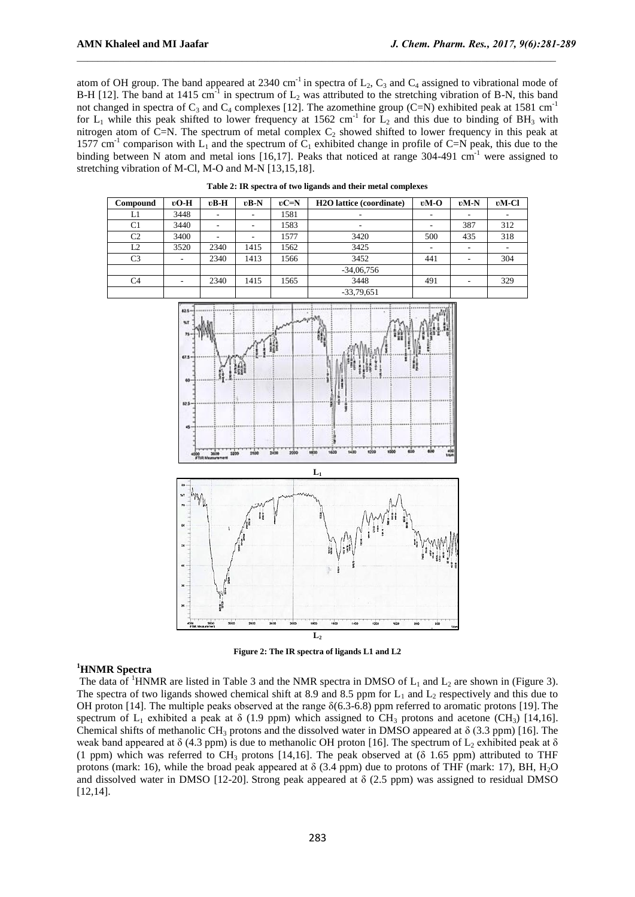atom of OH group. The band appeared at 2340 cm<sup>-1</sup> in spectra of  $L_2$ ,  $C_3$  and  $C_4$  assigned to vibrational mode of B-H [12]. The band at 1415 cm<sup>-1</sup> in spectrum of  $L_2$  was attributed to the stretching vibration of B-N, this band not changed in spectra of  $C_3$  and  $C_4$  complexes [12]. The azomethine group (C=N) exhibited peak at 1581 cm<sup>-1</sup> for  $L_1$  while this peak shifted to lower frequency at 1562 cm<sup>-1</sup> for  $L_2$  and this due to binding of BH<sub>3</sub> with nitrogen atom of C=N. The spectrum of metal complex  $C_2$  showed shifted to lower frequency in this peak at 1577 cm<sup>-1</sup> comparison with  $L_1$  and the spectrum of  $C_1$  exhibited change in profile of C=N peak, this due to the binding between N atom and metal ions  $[16,17]$ . Peaks that noticed at range 304-491 cm<sup>-1</sup> were assigned to stretching vibration of M-Cl, M-O and M-N [13,15,18].

**Table 2: IR spectra of two ligands and their metal complexes**

| Compound       | $vO-H$                   | $vB-H$ | $vB-N$ | $vC=N$ | <b>H2O</b> lattice (coordinate) | $vM-O$ | $vM-N$ | $vM-Cl$ |
|----------------|--------------------------|--------|--------|--------|---------------------------------|--------|--------|---------|
| L1             | 3448                     | ۰      |        | 1581   | $\overline{\phantom{a}}$        | ۰      |        |         |
| C1             | 3440                     | ۰      |        | 1583   | $\overline{\phantom{a}}$        |        | 387    | 312     |
| C <sub>2</sub> | 3400                     | ۰      |        | 1577   | 3420                            | 500    | 435    | 318     |
| L2             | 3520                     | 2340   | 1415   | 1562   | 3425                            | ۰      |        |         |
| C <sub>3</sub> | $\overline{\phantom{a}}$ | 2340   | 1413   | 1566   | 3452                            | 441    |        | 304     |
|                |                          |        |        |        | $-34,06,756$                    |        |        |         |
| C <sub>4</sub> | $\overline{\phantom{a}}$ | 2340   | 1415   | 1565   | 3448                            | 491    |        | 329     |
|                |                          |        |        |        | $-33,79,651$                    |        |        |         |



**Figure 2: The IR spectra of ligands L1 and L2**

# **<sup>1</sup>HNMR Spectra**

The data of <sup>1</sup>HNMR are listed in Table 3 and the NMR spectra in DMSO of  $L_1$  and  $L_2$  are shown in (Figure 3). The spectra of two ligands showed chemical shift at 8.9 and 8.5 ppm for  $L_1$  and  $L_2$  respectively and this due to OH proton [14]. The multiple peaks observed at the range  $\delta(6.3-6.8)$  ppm referred to aromatic protons [19]. The spectrum of  $L_1$  exhibited a peak at  $\delta$  (1.9 ppm) which assigned to CH<sub>3</sub> protons and acetone (CH<sub>3</sub>) [14,16]. Chemical shifts of methanolic CH<sub>3</sub> protons and the dissolved water in DMSO appeared at  $\delta$  (3.3 ppm) [16]. The weak band appeared at  $\delta$  (4.3 ppm) is due to methanolic OH proton [16]. The spectrum of L<sub>2</sub> exhibited peak at  $\delta$ (1 ppm) which was referred to CH<sub>3</sub> protons [14,16]. The peak observed at ( $\delta$  1.65 ppm) attributed to THF protons (mark: 16), while the broad peak appeared at  $\delta$  (3.4 ppm) due to protons of THF (mark: 17), BH, H<sub>2</sub>O and dissolved water in DMSO [12-20]. Strong peak appeared at  $\delta$  (2.5 ppm) was assigned to residual DMSO [12,14].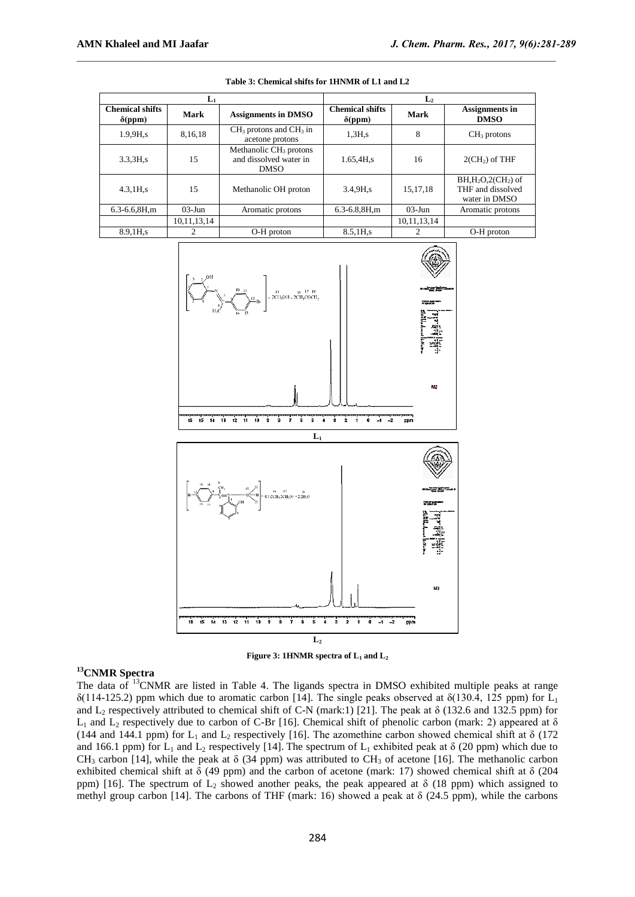|                                          | $L_1$          |                                                                             | L <sub>2</sub>                           |             |                                                            |  |
|------------------------------------------|----------------|-----------------------------------------------------------------------------|------------------------------------------|-------------|------------------------------------------------------------|--|
| <b>Chemical shifts</b><br>$\delta$ (ppm) | Mark           | <b>Assignments in DMSO</b>                                                  | <b>Chemical shifts</b><br>$\delta$ (ppm) | Mark        | <b>Assignments in</b><br><b>DMSO</b>                       |  |
| $1.9.9H$ <sub>s</sub>                    | 8,16,18        | $CH3$ protons and $CH3$ in<br>acetone protons                               | $1.3H$ .s                                | 8           | $CH3$ protons                                              |  |
| 3.3,3H,s                                 | 15             | Methanolic CH <sub>3</sub> protons<br>and dissolved water in<br><b>DMSO</b> | 1.65,4H,s                                | 16          | $2(CH2)$ of THF                                            |  |
| 4.3, 1H, s                               | 15             | Methanolic OH proton                                                        | $3.4.9H$ <sub>s</sub>                    | 15.17.18    | $BH, H2O, 2(CH2)$ of<br>THF and dissolved<br>water in DMSO |  |
| $6.3 - 6.6, 8H, m$                       | $03$ -Jun      | Aromatic protons                                                            | $6.3 - 6.8, 8H, m$                       | $03-J$ un   | Aromatic protons                                           |  |
|                                          | 10, 11, 13, 14 |                                                                             |                                          | 10,11,13,14 |                                                            |  |
| 8.9,1H,s                                 | 2              | O-H proton                                                                  | 8.5,1H <sub>,s</sub>                     |             | O-H proton                                                 |  |

| Table 3: Chemical shifts for 1HNMR of L1 and L2 |  |
|-------------------------------------------------|--|
|-------------------------------------------------|--|





# **<sup>13</sup>CNMR Spectra**

The data of <sup>13</sup>CNMR are listed in Table 4. The ligands spectra in DMSO exhibited multiple peaks at range  $\delta(114-125.2)$  ppm which due to aromatic carbon [14]. The single peaks observed at  $\delta(130.4, 125$  ppm) for L<sub>1</sub> and  $L_2$  respectively attributed to chemical shift of C-N (mark:1) [21]. The peak at  $\delta$  (132.6 and 132.5 ppm) for L<sub>1</sub> and L<sub>2</sub> respectively due to carbon of C-Br [16]. Chemical shift of phenolic carbon (mark: 2) appeared at  $\delta$ (144 and 144.1 ppm) for  $L_1$  and  $L_2$  respectively [16]. The azomethine carbon showed chemical shift at  $\delta$  (172) and 166.1 ppm) for L<sub>1</sub> and L<sub>2</sub> respectively [14]. The spectrum of L<sub>1</sub> exhibited peak at  $\delta$  (20 ppm) which due to  $CH_3$  carbon [14], while the peak at  $\delta$  (34 ppm) was attributed to CH<sub>3</sub> of acetone [16]. The methanolic carbon exhibited chemical shift at  $\delta$  (49 ppm) and the carbon of acetone (mark: 17) showed chemical shift at  $\delta$  (204 ppm) [16]. The spectrum of  $L_2$  showed another peaks, the peak appeared at  $\delta$  (18 ppm) which assigned to methyl group carbon [14]. The carbons of THF (mark: 16) showed a peak at  $\delta$  (24.5 ppm), while the carbons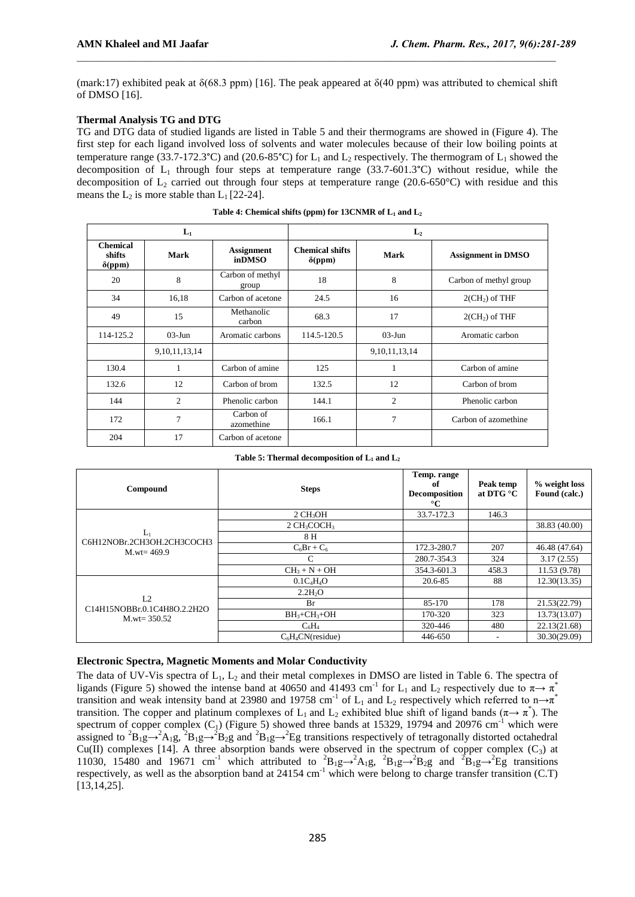(mark:17) exhibited peak at  $\delta(68.3 \text{ ppm})$  [16]. The peak appeared at  $\delta(40 \text{ ppm})$  was attributed to chemical shift of DMSO [16].

# **Thermal Analysis TG and DTG**

TG and DTG data of studied ligands are listed in Table 5 and their thermograms are showed in (Figure 4). The first step for each ligand involved loss of solvents and water molecules because of their low boiling points at temperature range (33.7-172.3°C) and (20.6-85°C) for  $L_1$  and  $L_2$  respectively. The thermogram of  $L_1$  showed the decomposition of  $L_1$  through four steps at temperature range (33.7-601.3°C) without residue, while the decomposition of  $L_2$  carried out through four steps at temperature range (20.6-650°C) with residue and this means the  $L_2$  is more stable than  $L_1$  [22-24].

|                                             | $L_1$             |                             | L <sub>2</sub>                           |                   |                           |  |
|---------------------------------------------|-------------------|-----------------------------|------------------------------------------|-------------------|---------------------------|--|
| <b>Chemical</b><br>shifts<br>$\delta$ (ppm) | Mark              | <b>Assignment</b><br>inDMSO | <b>Chemical shifts</b><br>$\delta$ (ppm) | Mark              | <b>Assignment in DMSO</b> |  |
| 20                                          | 8                 | Carbon of methyl<br>group   | 18                                       | 8                 | Carbon of methyl group    |  |
| 34                                          | 16,18             | Carbon of acetone           | 24.5                                     | 16                | $2(CH2)$ of THF           |  |
| 49                                          | 15                | Methanolic<br>carbon        | 68.3                                     | 17                | $2(CH_2)$ of THF          |  |
| 114-125.2                                   | $03$ -Jun         | Aromatic carbons            | 114.5-120.5                              | $03$ -Jun         | Aromatic carbon           |  |
|                                             | 9, 10, 11, 13, 14 |                             |                                          | 9, 10, 11, 13, 14 |                           |  |
| 130.4                                       | 1                 | Carbon of amine             | 125                                      | 1                 | Carbon of amine           |  |
| 132.6                                       | 12                | Carbon of brom              | 132.5                                    | 12                | Carbon of brom            |  |
| 144                                         | 2                 | Phenolic carbon             | 144.1                                    | $\overline{c}$    | Phenolic carbon           |  |
| 172                                         | 7                 | Carbon of<br>azomethine     | 166.1                                    | $\overline{7}$    | Carbon of azomethine      |  |
| 204                                         | 17                | Carbon of acetone           |                                          |                   |                           |  |

**Table 4: Chemical shifts (ppm) for 13CNMR of L<sup>1</sup> and L<sup>2</sup>**

**Table 5: Thermal decomposition of L<sup>1</sup> and L<sup>2</sup>**

| Compound                            | <b>Steps</b>                          | Temp. range<br>of<br><b>Decomposition</b><br>$\rm ^{\circ}C$ | Peak temp<br>at DTG $^{\circ}$ C | % weight loss<br>Found (calc.) |
|-------------------------------------|---------------------------------------|--------------------------------------------------------------|----------------------------------|--------------------------------|
|                                     | $2$ CH <sub>3</sub> OH                | 33.7-172.3                                                   | 146.3                            |                                |
|                                     | $2$ CH <sub>3</sub> COCH <sub>3</sub> |                                                              |                                  | 38.83 (40.00)                  |
| $L_1$<br>C6H12NOBr.2CH3OH.2CH3COCH3 | 8 H                                   |                                                              |                                  |                                |
| $M$ , wt= 469.9                     | $C_6Br + C_6$                         | 172.3-280.7                                                  | 207                              | 46.48 (47.64)                  |
|                                     | C                                     | 280.7-354.3                                                  | 324                              | 3.17(2.55)                     |
|                                     | $CH_3 + N + OH$                       | 354.3-601.3                                                  | 458.3                            | 11.53(9.78)                    |
|                                     | $0.1C_4H_4O$                          | 20.6-85                                                      | 88                               | 12.30(13.35)                   |
|                                     | 2.2H <sub>2</sub> O                   |                                                              |                                  |                                |
| L2<br>C14H15NOBBr.0.1C4H8O.2.2H2O   | Br                                    | 85-170                                                       | 178                              | 21.53(22.79)                   |
| $M.wt = 350.52$                     | $BH3+CH3+OH$                          | 170-320                                                      | 323                              | 13.73(13.07)                   |
|                                     | $C_6H_4$                              | 320-446                                                      | 480                              | 22.13(21.68)                   |
|                                     | $C_6H_4CN$ (residue)                  | 446-650                                                      |                                  | 30.30(29.09)                   |

#### **Electronic Spectra, Magnetic Moments and Molar Conductivity**

The data of UV-Vis spectra of  $L_1$ ,  $L_2$  and their metal complexes in DMSO are listed in Table 6. The spectra of ligands (Figure 5) showed the intense band at 40650 and 41493 cm<sup>-1</sup> for L<sub>1</sub> and L<sub>2</sub> respectively due to  $\pi \rightarrow \pi$ <sup>\*</sup> transition and weak intensity band at 23980 and 19758 cm<sup>-1</sup> of L<sub>1</sub> and L<sub>2</sub> respectively which referred to n→ $\pi$ <sup>\*</sup> transition. The copper and platinum complexes of L<sub>1</sub> and L<sub>2</sub> exhibited blue shift of ligand bands ( $\pi \rightarrow \pi^*$ ). The spectrum of copper complex  $(C_1)$  (Figure 5) showed three bands at 15329, 19794 and 20976 cm<sup>-1</sup> which were assigned to <sup>2</sup>B<sub>1</sub>g→<sup>2</sup>A<sub>1</sub>g, <sup>2</sup>B<sub>1</sub>g→<sup>2</sup>B<sub>2</sub>g and <sup>2</sup>B<sub>1</sub>g→<sup>2</sup>Eg transitions respectively of tetragonally distorted octahedral Cu(II) complexes [14]. A three absorption bands were observed in the spectrum of copper complex  $(C_3)$  at 11030, 15480 and 19671 cm<sup>-1</sup> which attributed to <sup>2</sup>B<sub>1</sub>g→<sup>2</sup>A<sub>1</sub>g, <sup>2</sup>B<sub>1</sub>g→<sup>2</sup>B<sub>2</sub>g and <sup>2</sup>B<sub>1</sub>g→<sup>2</sup>Eg transitions respectively, as well as the absorption band at  $24154 \text{ cm}^{-1}$  which were belong to charge transfer transition (C.T) [13,14,25].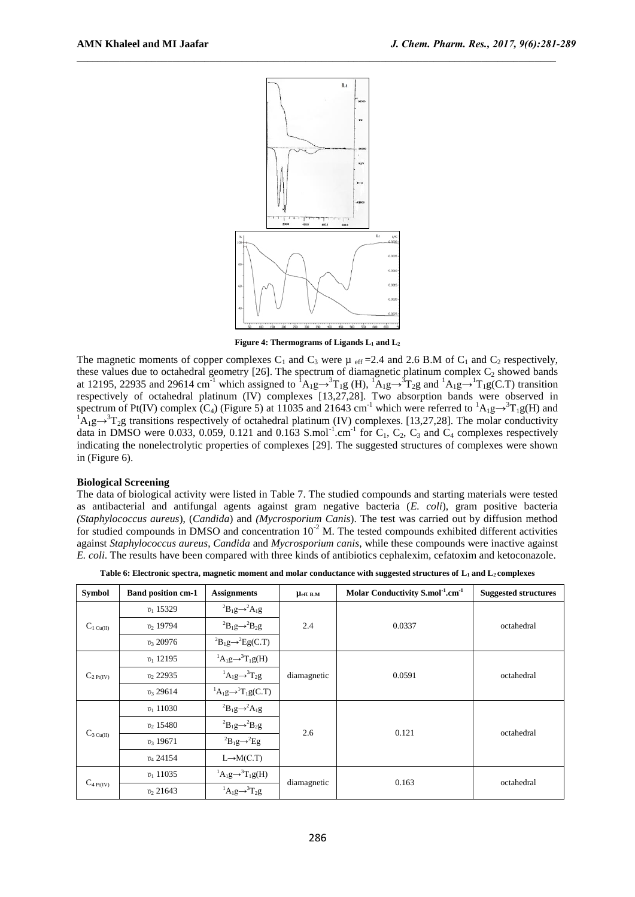

**Figure 4: Thermograms of Ligands L<sup>1</sup> and L<sup>2</sup>**

The magnetic moments of copper complexes  $C_1$  and  $C_3$  were  $\mu$  eff = 2.4 and 2.6 B.M of  $C_1$  and  $C_2$  respectively, these values due to octahedral geometry [26]. The spectrum of diamagnetic platinum complex  $C_2$  showed bands at 12195, 22935 and 29614 cm<sup>-1</sup> which assigned to  ${}^{1}A_{1}g\rightarrow {}^{3}T_{1}g$  (H),  ${}^{1}A_{1}g\rightarrow {}^{3}T_{2}g$  and  ${}^{1}A_{1}g\rightarrow {}^{1}T_{1}g(C.T)$  transition respectively of octahedral platinum (IV) complexes [13,27,28]. Two absorption bands were observed in spectrum of Pt(IV) complex (C<sub>4</sub>) (Figure 5) at 11035 and 21643 cm<sup>-1</sup> which were referred to <sup>1</sup>A<sub>1</sub>g→<sup>3</sup>T<sub>1</sub>g(H) and  ${}^{1}\text{A}_{1}\text{g} \rightarrow {}^{3}\text{T}_{2}\text{g}$  transitions respectively of octahedral platinum (IV) complexes. [13,27,28]. The molar conductivity data in DMSO were 0.033, 0.059, 0.121 and 0.163 S.mol<sup>-1</sup>.cm<sup>-1</sup> for  $C_1$ ,  $C_2$ ,  $C_3$  and  $C_4$  complexes respectively indicating the nonelectrolytic properties of complexes [29]. The suggested structures of complexes were shown in (Figure 6).

# **Biological Screening**

The data of biological activity were listed in Table 7. The studied compounds and starting materials were tested as antibacterial and antifungal agents against gram negative bacteria (*E. coli*), gram positive bacteria *(Staphylococcus aureus*), (*Candida*) and *(Mycrosporium Canis*). The test was carried out by diffusion method for studied compounds in DMSO and concentration  $10^{-2}$  M. The tested compounds exhibited different activities against *Staphylococcus aureus*, *Candida* and *Mycrosporium canis*, while these compounds were inactive against *E. coli*. The results have been compared with three kinds of antibiotics cephalexim, cefatoxim and ketoconazole.

| <b>Symbol</b>          | <b>Band position cm-1</b> | <b>Assignments</b>                                          | $\mu_{\rm eff. \, B.M}$ | Molar Conductivity S.mol <sup>-1</sup> .cm <sup>-1</sup> | <b>Suggested structures</b> |  |
|------------------------|---------------------------|-------------------------------------------------------------|-------------------------|----------------------------------------------------------|-----------------------------|--|
|                        | $v_1$ 15329               | ${}^{2}B_{1}g \rightarrow {}^{2}A_{1}g$                     |                         |                                                          |                             |  |
| $C_{1 \text{ Cu(II)}}$ | $v_2$ , 19794             | ${}^{2}B_{1}g \rightarrow {}^{2}B_{2}g$                     | 2.4                     | 0.0337                                                   | octahedral                  |  |
|                        | $v_3$ 20976               | ${}^{2}B_{1}g \rightarrow {}^{2}Eg(C.T)$                    |                         |                                                          |                             |  |
|                        | $v_1$ 12195               | ${}^{1}A_{1}g \rightarrow {}^{3}T_{1}g(H)$                  |                         |                                                          |                             |  |
| $C_{2 \text{ Pt(IV)}}$ | $v_2$ , 22935             | ${}^1A_1g \rightarrow {}^3T_2g$                             | diamagnetic             | 0.0591<br>0.121<br>0.163                                 | octahedral                  |  |
|                        | $v_3$ 29614               | ${}^{1}A_{1}g \rightarrow {}^{1}T_{1}g(C.T)$                |                         |                                                          |                             |  |
|                        | $v_1$ 11030               | ${}^{2}B_{1}g \rightarrow {}^{2}A_{1}g$                     |                         |                                                          |                             |  |
|                        | $v_2$ , 15480             | ${}^{2}B_{1}g \rightarrow {}^{2}B_{2}g$                     | 2.6                     |                                                          | octahedral                  |  |
| $C_{3 \text{ Cu(II)}}$ | $v_3$ 19671               | <sup>2</sup> B <sub>1</sub> g $\rightarrow$ <sup>2</sup> Eg |                         |                                                          |                             |  |
|                        | $v_4$ 24154               | $L \rightarrow M(C.T)$                                      |                         |                                                          |                             |  |
|                        | $v_1$ 11035               | ${}^{1}A_{1}g \rightarrow {}^{3}T_{1}g(H)$                  |                         |                                                          | octahedral                  |  |
| $C_{4\text{ Pt(IV)}}$  | $v_2$ 21643               | ${}^1A_1g \rightarrow {}^3T_2g$                             | diamagnetic             |                                                          |                             |  |

**Table 6: Electronic spectra, magnetic moment and molar conductance with suggested structures of L<sup>1</sup> and L<sup>2</sup> complexes**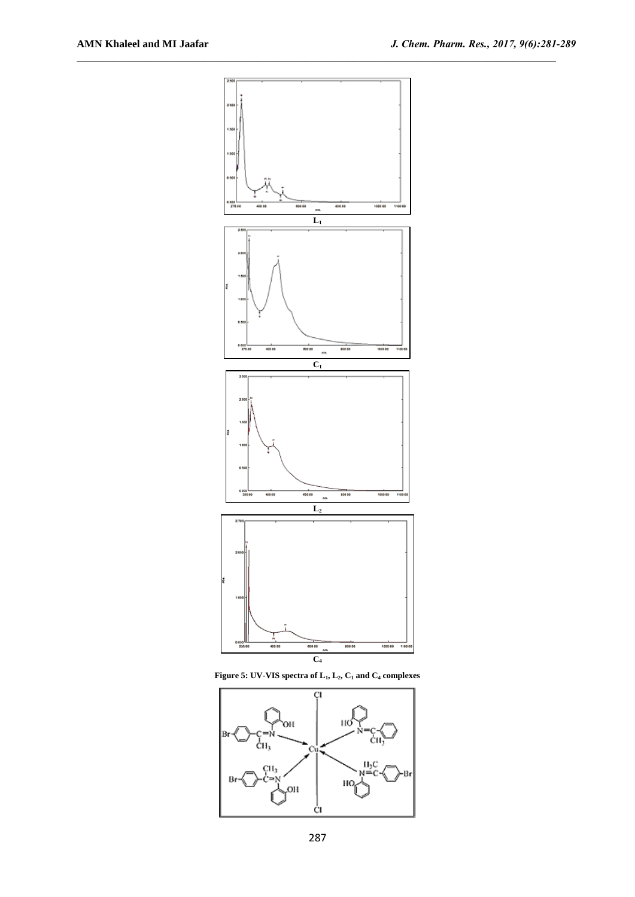





287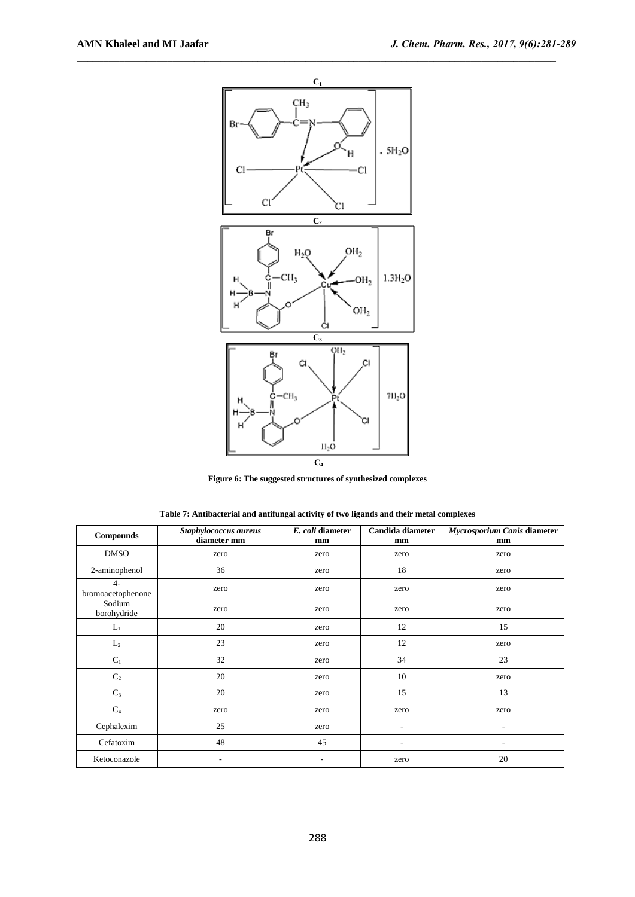

**Figure 6: The suggested structures of synthesized complexes**

| Table 7: Antibacterial and antifungal activity of two ligands and their metal complexes |
|-----------------------------------------------------------------------------------------|
|-----------------------------------------------------------------------------------------|

| <b>Compounds</b>          | Staphylococcus aureus<br>diameter mm | E. coli diameter<br>mm | Candida diameter<br>mm | Mycrosporium Canis diameter<br>mm |
|---------------------------|--------------------------------------|------------------------|------------------------|-----------------------------------|
| <b>DMSO</b>               | zero                                 | zero                   | zero                   | zero                              |
| 2-aminophenol             | 36                                   | zero                   | 18                     | zero                              |
| $4-$<br>bromoacetophenone | zero                                 | zero                   | zero                   | zero                              |
| Sodium<br>borohydride     | zero                                 | zero                   | zero                   | zero                              |
| $L_1$                     | 20                                   | zero                   | 12                     | 15                                |
| $L_2$                     | 23                                   | zero                   | 12                     | zero                              |
| $C_1$                     | 32                                   | zero                   | 34                     | 23                                |
| $\mathbf{C}_2$            | 20                                   | zero                   | 10                     | zero                              |
| $C_3$                     | 20                                   | zero                   | 15                     | 13                                |
| C <sub>4</sub>            | zero                                 | zero                   | zero                   | zero                              |
| Cephalexim                | 25                                   | zero                   | ۰                      | $\overline{\phantom{a}}$          |
| Cefatoxim                 | 48                                   | 45                     |                        |                                   |
| Ketoconazole              | ٠                                    | ٠                      | zero                   | 20                                |